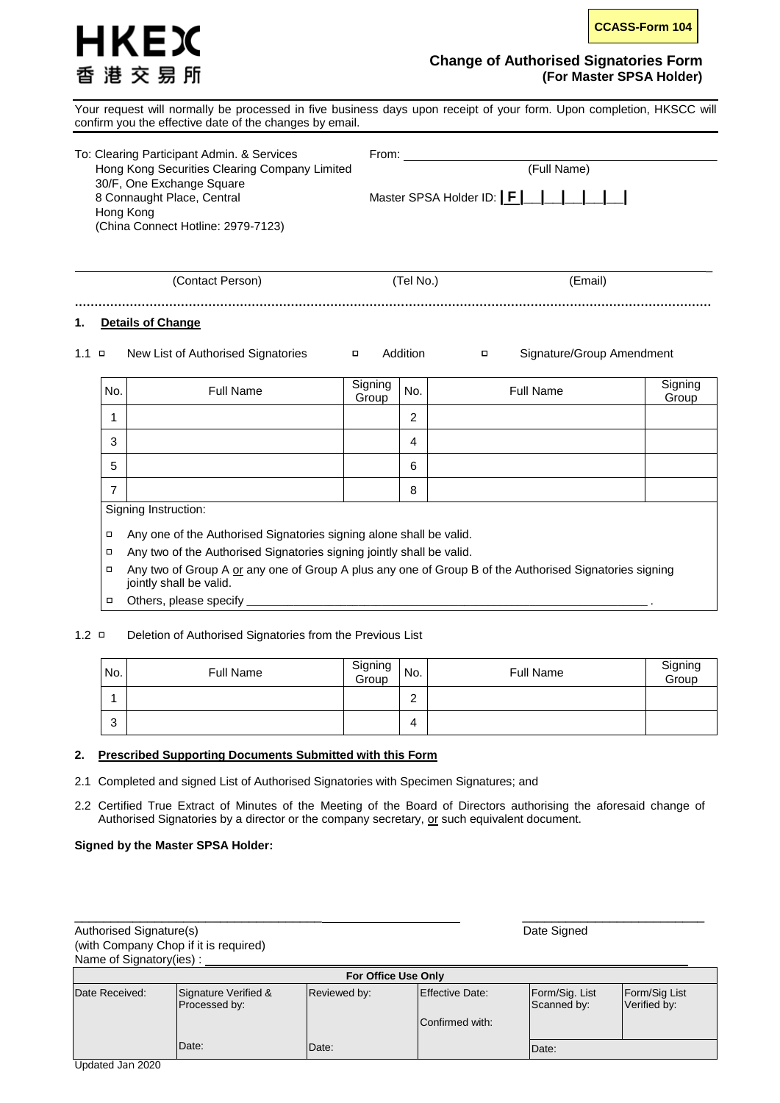

# **Change of Authorised Signatories Form (For Master SPSA Holder)**

Your request will normally be processed in five business days upon receipt of your form. Upon completion, HKSCC will confirm you the effective date of the changes by email.

| To: Clearing Participant Admin. & Services<br>Hong Kong Securities Clearing Company Limited<br>30/F, One Exchange Square | From:                      | (Full Name) |
|--------------------------------------------------------------------------------------------------------------------------|----------------------------|-------------|
| 8 Connaught Place, Central<br>Hong Kong<br>(China Connect Hotline: 2979-7123)                                            | Master SPSA Holder ID:   F |             |
| (Contact Person)                                                                                                         | (Tel No.)                  | (Email)     |

**………………………………………………………………………………………………………………………………………………**

# **1. Details of Change**

#### 1.1 □ New List of Authorised Signatories □ Addition □ Signature/Group Amendment

No. Full Name Signing Signing No. Full Name Signing Signing<br>Group Group Group 1 2 3 4 5 6 7 8 Signing Instruction:

□ Any one of the Authorised Signatories signing alone shall be valid.

□ Any two of the Authorised Signatories signing jointly shall be valid.

□ Any two of Group A or any one of Group A plus any one of Group B of the Authorised Signatories signing jointly shall be valid.

□ Others, please specify

#### 1.2 □ Deletion of Authorised Signatories from the Previous List

| No.    | <b>Full Name</b> | Signing<br>Group | No.         | Full Name | Signing<br>Group |
|--------|------------------|------------------|-------------|-----------|------------------|
|        |                  |                  | $\sim$<br>∸ |           |                  |
| 0<br>J |                  |                  | 4           |           |                  |

## **2. Prescribed Supporting Documents Submitted with this Form**

2.1 Completed and signed List of Authorised Signatories with Specimen Signatures; and

Date:

2.2 Certified True Extract of Minutes of the Meeting of the Board of Directors authorising the aforesaid change of Authorised Signatories by a director or the company secretary, or such equivalent document.

#### **Signed by the Master SPSA Holder:**

Date:

| Authorised Signature(s) |                                       | Date Signed  |                        |                               |                               |  |  |  |
|-------------------------|---------------------------------------|--------------|------------------------|-------------------------------|-------------------------------|--|--|--|
|                         | (with Company Chop if it is required) |              |                        |                               |                               |  |  |  |
| Name of Signatory(ies): |                                       |              |                        |                               |                               |  |  |  |
|                         | For Office Use Only                   |              |                        |                               |                               |  |  |  |
| Date Received:          | Signature Verified &<br>Processed by: | Reviewed by: | <b>Effective Date:</b> | Form/Sig. List<br>Scanned by: | Form/Sig List<br>Verified by: |  |  |  |
|                         |                                       |              | Confirmed with:        |                               |                               |  |  |  |

Date:

\_\_\_\_\_\_\_\_\_\_\_\_\_\_\_\_\_\_\_\_\_\_\_\_\_\_\_\_\_\_\_\_\_\_ \_\_\_\_\_\_\_\_\_\_\_\_\_\_\_\_\_\_\_\_\_\_\_\_\_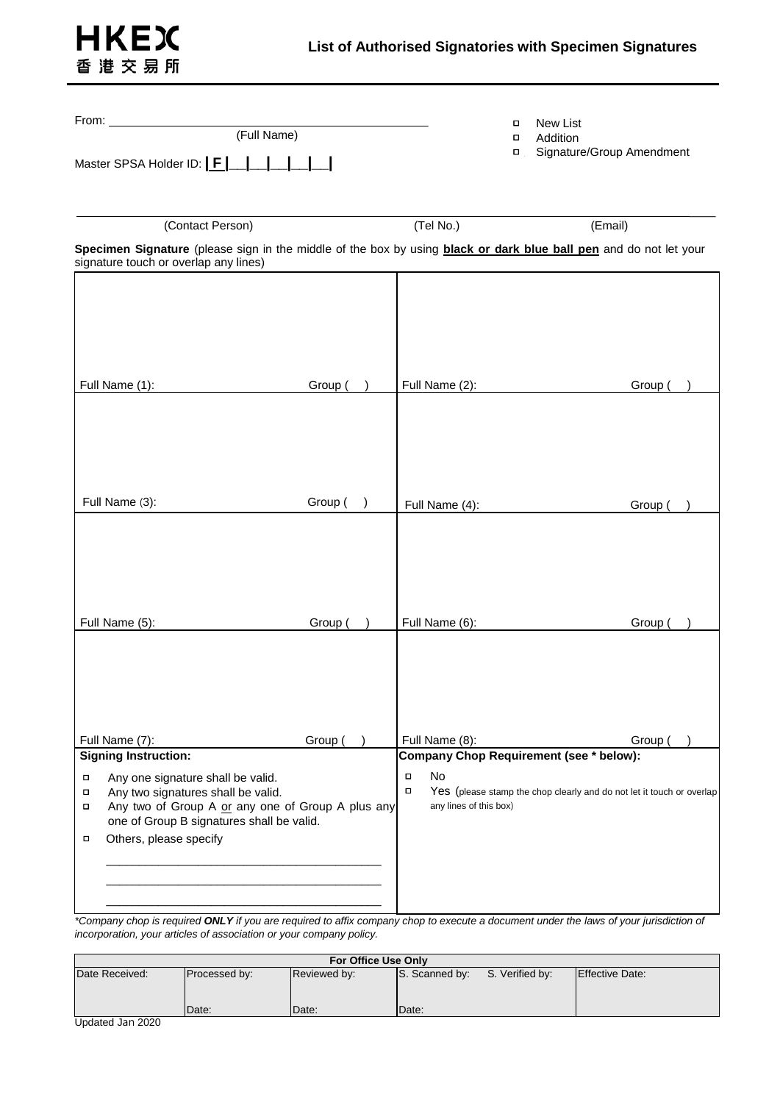

| $From: \_\_$                                                                                                                                 | о       | New List |                                                                  |                                                                       |  |  |  |
|----------------------------------------------------------------------------------------------------------------------------------------------|---------|----------|------------------------------------------------------------------|-----------------------------------------------------------------------|--|--|--|
| (Full Name)                                                                                                                                  | п       | Addition |                                                                  |                                                                       |  |  |  |
| Master SPSA Holder ID:   F                                                                                                                   |         | $\Box$   | Signature/Group Amendment                                        |                                                                       |  |  |  |
|                                                                                                                                              |         |          |                                                                  |                                                                       |  |  |  |
| (Contact Person)                                                                                                                             |         |          | (Tel No.)                                                        | (Email)                                                               |  |  |  |
| Specimen Signature (please sign in the middle of the box by using <b>black or dark blue ball pen</b> and do not let your                     |         |          |                                                                  |                                                                       |  |  |  |
| signature touch or overlap any lines)                                                                                                        |         |          |                                                                  |                                                                       |  |  |  |
|                                                                                                                                              |         |          |                                                                  |                                                                       |  |  |  |
|                                                                                                                                              |         |          |                                                                  |                                                                       |  |  |  |
|                                                                                                                                              |         |          |                                                                  |                                                                       |  |  |  |
|                                                                                                                                              |         |          |                                                                  |                                                                       |  |  |  |
| Full Name (1):                                                                                                                               | Group ( |          | Full Name (2):                                                   | Group (                                                               |  |  |  |
|                                                                                                                                              |         |          |                                                                  |                                                                       |  |  |  |
|                                                                                                                                              |         |          |                                                                  |                                                                       |  |  |  |
|                                                                                                                                              |         |          |                                                                  |                                                                       |  |  |  |
|                                                                                                                                              |         |          |                                                                  |                                                                       |  |  |  |
| Full Name (3):                                                                                                                               | Group ( |          | Full Name (4):                                                   | Group (                                                               |  |  |  |
|                                                                                                                                              |         |          |                                                                  |                                                                       |  |  |  |
|                                                                                                                                              |         |          |                                                                  |                                                                       |  |  |  |
|                                                                                                                                              |         |          |                                                                  |                                                                       |  |  |  |
|                                                                                                                                              |         |          |                                                                  |                                                                       |  |  |  |
|                                                                                                                                              |         |          |                                                                  |                                                                       |  |  |  |
| Full Name (5):                                                                                                                               | Group ( |          | Full Name (6):                                                   | Group (                                                               |  |  |  |
|                                                                                                                                              |         |          |                                                                  |                                                                       |  |  |  |
|                                                                                                                                              |         |          |                                                                  |                                                                       |  |  |  |
|                                                                                                                                              |         |          |                                                                  |                                                                       |  |  |  |
|                                                                                                                                              |         |          |                                                                  |                                                                       |  |  |  |
| Full Name (7):<br><b>Signing Instruction:</b>                                                                                                | Group ( |          | Full Name (8):<br><b>Company Chop Requirement (see * below):</b> | Group (                                                               |  |  |  |
| Any one signature shall be valid.<br>Π                                                                                                       |         |          | No<br>$\Box$                                                     |                                                                       |  |  |  |
| Any two signatures shall be valid.<br>о<br>Any two of Group A or any one of Group A plus any<br>$\Box$                                       |         |          | $\Box$<br>any lines of this box)                                 | Yes (please stamp the chop clearly and do not let it touch or overlap |  |  |  |
| one of Group B signatures shall be valid.                                                                                                    |         |          |                                                                  |                                                                       |  |  |  |
| Others, please specify<br>о                                                                                                                  |         |          |                                                                  |                                                                       |  |  |  |
|                                                                                                                                              |         |          |                                                                  |                                                                       |  |  |  |
|                                                                                                                                              |         |          |                                                                  |                                                                       |  |  |  |
| *Company chan is required <b>ONLY</b> if you are required to affix company chan to execute a document under the laws of your jurisdiction of |         |          |                                                                  |                                                                       |  |  |  |

*\*Company chop is required ONLY if you are required to affix company chop to execute a document under the laws of your jurisdiction of incorporation, your articles of association or your company policy.*

| For Office Use Only |               |              |                                   |  |                 |  |  |  |
|---------------------|---------------|--------------|-----------------------------------|--|-----------------|--|--|--|
| Date Received:      | Processed by: | Reviewed by: | S. Scanned by:<br>S. Verified by: |  | Effective Date: |  |  |  |
| .<br>$\cdots$       | Date:         | Date:        | Date:                             |  |                 |  |  |  |

Updated Jan 2020